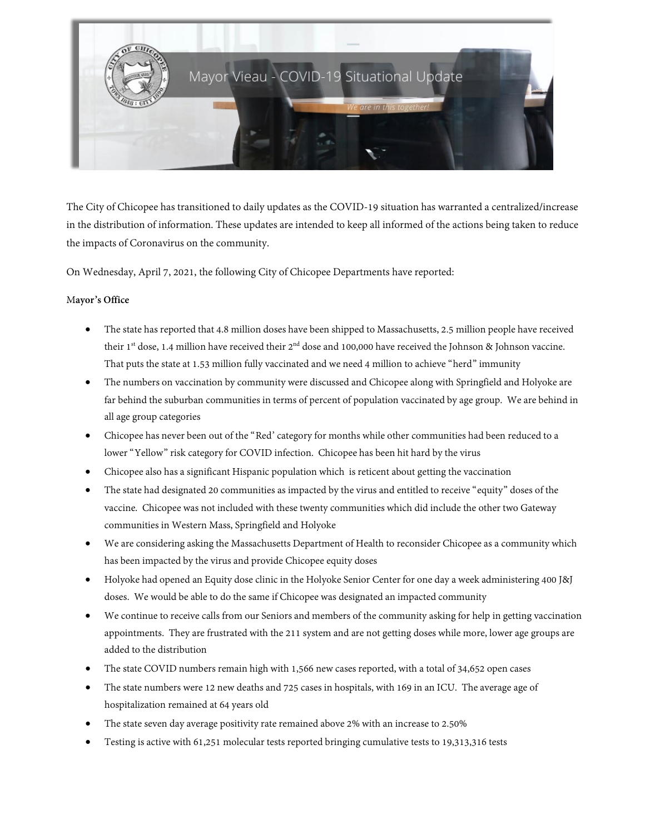

The City of Chicopee has transitioned to daily updates as the COVID-19 situation has warranted a centralized/increase in the distribution of information. These updates are intended to keep all informed of the actions being taken to reduce the impacts of Coronavirus on the community.

On Wednesday, April 7, 2021, the following City of Chicopee Departments have reported:

#### M**ayor's Office**

- The state has reported that 4.8 million doses have been shipped to Massachusetts, 2.5 million people have received their 1<sup>st</sup> dose, 1.4 million have received their 2<sup>nd</sup> dose and 100,000 have received the Johnson & Johnson vaccine. That puts the state at 1.53 million fully vaccinated and we need 4 million to achieve "herd" immunity
- The numbers on vaccination by community were discussed and Chicopee along with Springfield and Holyoke are far behind the suburban communities in terms of percent of population vaccinated by age group. We are behind in all age group categories
- Chicopee has never been out of the "Red' category for months while other communities had been reduced to a lower "Yellow" risk category for COVID infection. Chicopee has been hit hard by the virus
- Chicopee also has a significant Hispanic population which is reticent about getting the vaccination
- The state had designated 20 communities as impacted by the virus and entitled to receive "equity" doses of the vaccine. Chicopee was not included with these twenty communities which did include the other two Gateway communities in Western Mass, Springfield and Holyoke
- We are considering asking the Massachusetts Department of Health to reconsider Chicopee as a community which has been impacted by the virus and provide Chicopee equity doses
- Holyoke had opened an Equity dose clinic in the Holyoke Senior Center for one day a week administering 400 J&J doses. We would be able to do the same if Chicopee was designated an impacted community
- We continue to receive calls from our Seniors and members of the community asking for help in getting vaccination appointments. They are frustrated with the 211 system and are not getting doses while more, lower age groups are added to the distribution
- The state COVID numbers remain high with 1,566 new cases reported, with a total of 34,652 open cases
- The state numbers were 12 new deaths and 725 cases in hospitals, with 169 in an ICU. The average age of hospitalization remained at 64 years old
- The state seven day average positivity rate remained above 2% with an increase to 2.50%
- Testing is active with 61,251 molecular tests reported bringing cumulative tests to 19,313,316 tests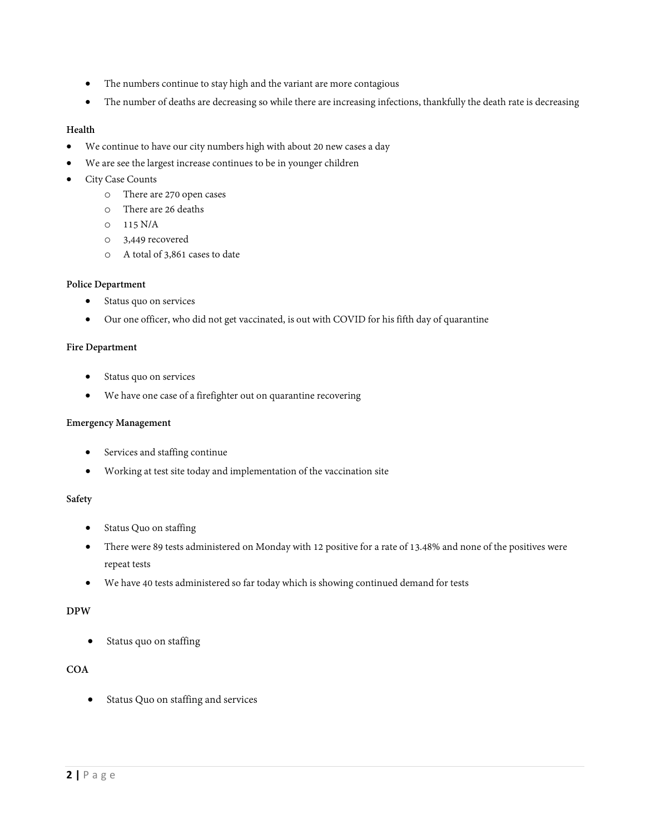- The numbers continue to stay high and the variant are more contagious
- The number of deaths are decreasing so while there are increasing infections, thankfully the death rate is decreasing

## **Health**

- We continue to have our city numbers high with about 20 new cases a day
- We are see the largest increase continues to be in younger children
- City Case Counts
	- o There are 270 open cases
	- o There are 26 deaths
	- o 115 N/A
	- o 3,449 recovered
	- o A total of 3,861 cases to date

#### **Police Department**

- Status quo on services
- Our one officer, who did not get vaccinated, is out with COVID for his fifth day of quarantine

#### **Fire Department**

- Status quo on services
- We have one case of a firefighter out on quarantine recovering

#### **Emergency Management**

- Services and staffing continue
- Working at test site today and implementation of the vaccination site

#### **Safety**

- Status Quo on staffing
- There were 89 tests administered on Monday with 12 positive for a rate of 13.48% and none of the positives were repeat tests
- We have 40 tests administered so far today which is showing continued demand for tests

## **DPW**

• Status quo on staffing

## **COA**

• Status Quo on staffing and services